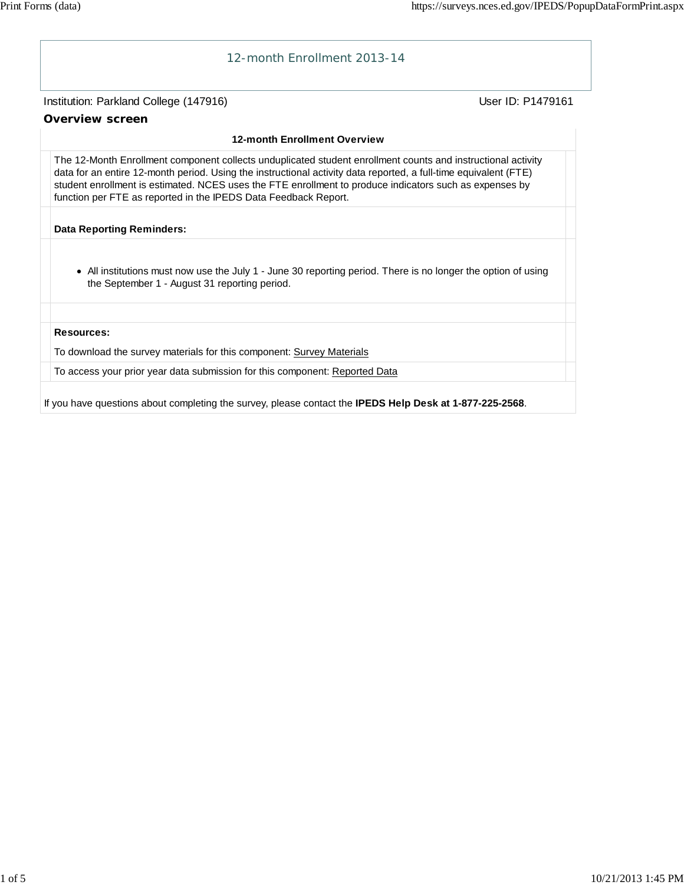

If you have questions about completing the survey, please contact the **IPEDS Help Desk at 1-877-225-2568**.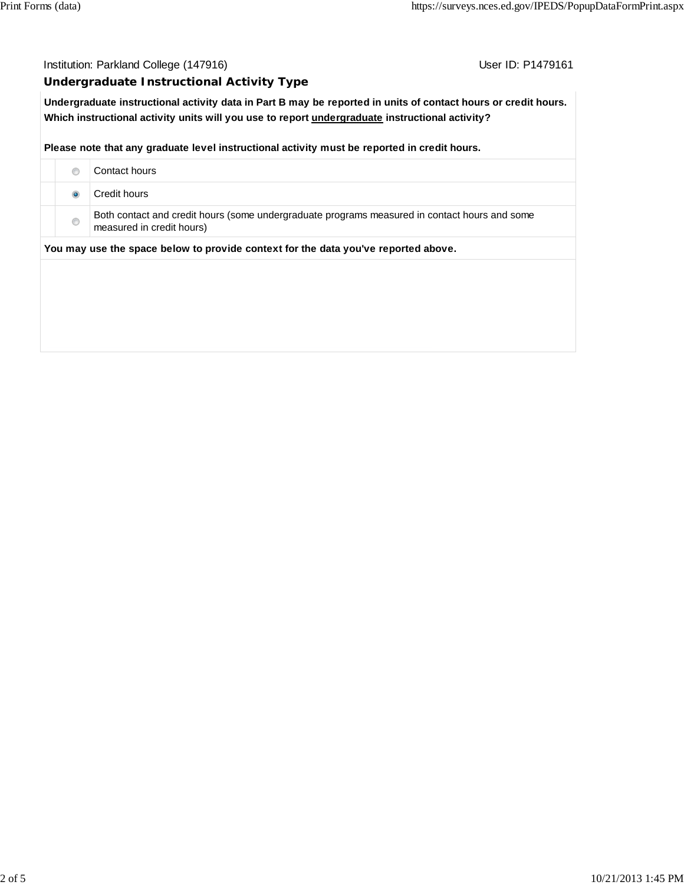### Institution: Parkland College (147916) **Institution: Parkland College (147916**)

#### **Undergraduate Instructional Activity Type**

**Undergraduate instructional activity data in Part B may be reported in units of contact hours or credit hours. Which instructional activity units will you use to report undergraduate instructional activity?**

#### **Please note that any graduate level instructional activity must be reported in credit hours.**

|                                                                                    | ◉              | Contact hours                                                                                                              |  |  |  |
|------------------------------------------------------------------------------------|----------------|----------------------------------------------------------------------------------------------------------------------------|--|--|--|
|                                                                                    |                | Credit hours                                                                                                               |  |  |  |
|                                                                                    | $\circledcirc$ | Both contact and credit hours (some undergraduate programs measured in contact hours and some<br>measured in credit hours) |  |  |  |
| You may use the space below to provide context for the data you've reported above. |                |                                                                                                                            |  |  |  |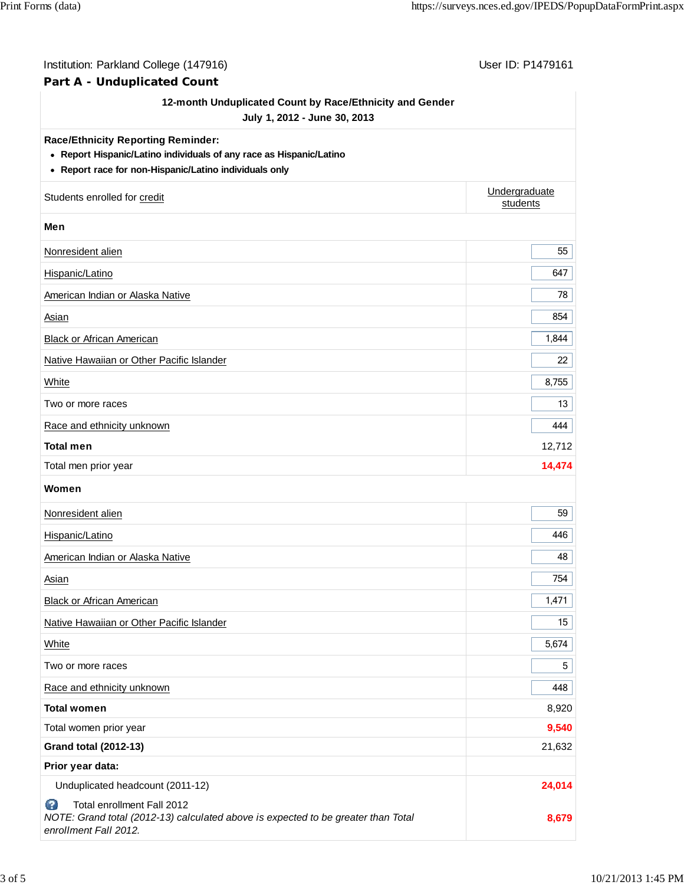| Institution: Parkland College (147916)<br>Part A - Unduplicated Count                                                                                                      | User ID: P1479161         |  |
|----------------------------------------------------------------------------------------------------------------------------------------------------------------------------|---------------------------|--|
| 12-month Unduplicated Count by Race/Ethnicity and Gender<br>July 1, 2012 - June 30, 2013                                                                                   |                           |  |
| <b>Race/Ethnicity Reporting Reminder:</b><br>• Report Hispanic/Latino individuals of any race as Hispanic/Latino<br>• Report race for non-Hispanic/Latino individuals only |                           |  |
| Students enrolled for credit                                                                                                                                               | Undergraduate<br>students |  |
| Men                                                                                                                                                                        |                           |  |
| Nonresident alien                                                                                                                                                          | 55                        |  |
| Hispanic/Latino                                                                                                                                                            | 647                       |  |
| American Indian or Alaska Native                                                                                                                                           | 78                        |  |
| <b>Asian</b>                                                                                                                                                               | 854                       |  |
| <b>Black or African American</b>                                                                                                                                           | 1,844                     |  |
| Native Hawaiian or Other Pacific Islander                                                                                                                                  | 22                        |  |
| <b>White</b>                                                                                                                                                               | 8,755                     |  |
| Two or more races                                                                                                                                                          | 13                        |  |
| Race and ethnicity unknown                                                                                                                                                 | 444                       |  |
| <b>Total men</b>                                                                                                                                                           | 12,712                    |  |
| Total men prior year                                                                                                                                                       | 14,474                    |  |
| Women                                                                                                                                                                      |                           |  |
| Nonresident alien                                                                                                                                                          | 59                        |  |
| Hispanic/Latino                                                                                                                                                            | 446                       |  |
| American Indian or Alaska Native                                                                                                                                           | 48                        |  |
| <b>Asian</b>                                                                                                                                                               | 754                       |  |
| <b>Black or African American</b>                                                                                                                                           | 1,471                     |  |
| Native Hawaiian or Other Pacific Islander                                                                                                                                  | 15                        |  |
| White                                                                                                                                                                      | 5,674                     |  |
| Two or more races                                                                                                                                                          | 5                         |  |
| Race and ethnicity unknown                                                                                                                                                 | 448                       |  |
| <b>Total women</b>                                                                                                                                                         | 8,920                     |  |
| Total women prior year                                                                                                                                                     | 9,540                     |  |
| <b>Grand total (2012-13)</b>                                                                                                                                               | 21,632                    |  |
| Prior year data:                                                                                                                                                           |                           |  |
| Unduplicated headcount (2011-12)                                                                                                                                           | 24,014                    |  |
| Ø<br>Total enrollment Fall 2012<br>NOTE: Grand total (2012-13) calculated above is expected to be greater than Total<br>enrollment Fall 2012.                              | 8,679                     |  |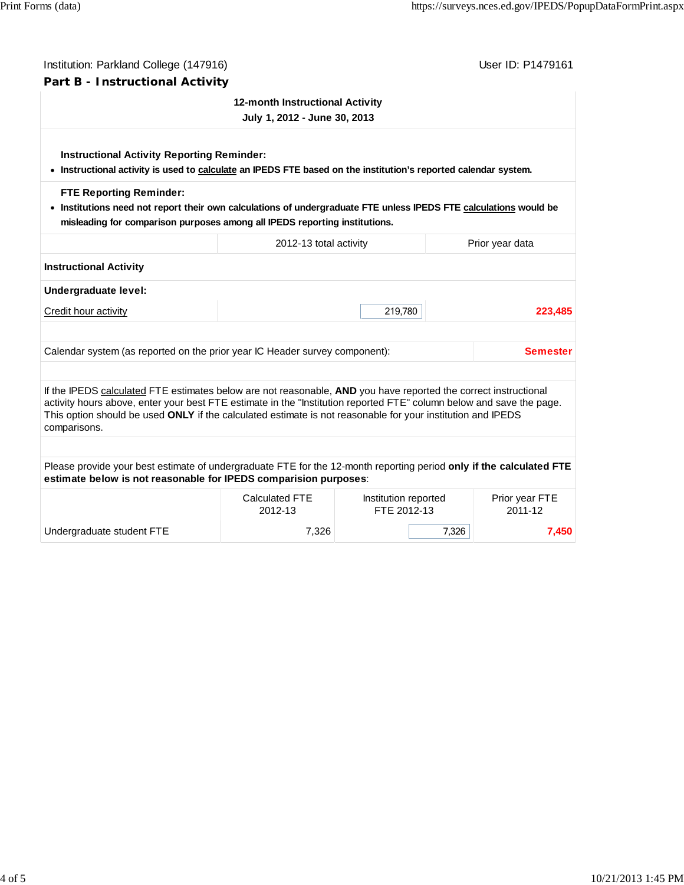| Institution: Parkland College (147916)                                                                                                                                                                                                                                                                                                                                 | User ID: P1479161               |                                     |       |                           |  |  |  |  |
|------------------------------------------------------------------------------------------------------------------------------------------------------------------------------------------------------------------------------------------------------------------------------------------------------------------------------------------------------------------------|---------------------------------|-------------------------------------|-------|---------------------------|--|--|--|--|
| Part B - Instructional Activity                                                                                                                                                                                                                                                                                                                                        |                                 |                                     |       |                           |  |  |  |  |
|                                                                                                                                                                                                                                                                                                                                                                        | 12-month Instructional Activity |                                     |       |                           |  |  |  |  |
| July 1, 2012 - June 30, 2013                                                                                                                                                                                                                                                                                                                                           |                                 |                                     |       |                           |  |  |  |  |
| <b>Instructional Activity Reporting Reminder:</b><br>• Instructional activity is used to calculate an IPEDS FTE based on the institution's reported calendar system.                                                                                                                                                                                                   |                                 |                                     |       |                           |  |  |  |  |
| <b>FTE Reporting Reminder:</b><br>. Institutions need not report their own calculations of undergraduate FTE unless IPEDS FTE calculations would be<br>misleading for comparison purposes among all IPEDS reporting institutions.                                                                                                                                      |                                 |                                     |       |                           |  |  |  |  |
|                                                                                                                                                                                                                                                                                                                                                                        | 2012-13 total activity          |                                     |       | Prior year data           |  |  |  |  |
| <b>Instructional Activity</b>                                                                                                                                                                                                                                                                                                                                          |                                 |                                     |       |                           |  |  |  |  |
| Undergraduate level:                                                                                                                                                                                                                                                                                                                                                   |                                 |                                     |       |                           |  |  |  |  |
| Credit hour activity                                                                                                                                                                                                                                                                                                                                                   |                                 | 219,780                             |       | 223,485                   |  |  |  |  |
| Calendar system (as reported on the prior year IC Header survey component):                                                                                                                                                                                                                                                                                            |                                 |                                     |       | <b>Semester</b>           |  |  |  |  |
| If the IPEDS calculated FTE estimates below are not reasonable, AND you have reported the correct instructional<br>activity hours above, enter your best FTE estimate in the "Institution reported FTE" column below and save the page.<br>This option should be used ONLY if the calculated estimate is not reasonable for your institution and IPEDS<br>comparisons. |                                 |                                     |       |                           |  |  |  |  |
|                                                                                                                                                                                                                                                                                                                                                                        |                                 |                                     |       |                           |  |  |  |  |
| Please provide your best estimate of undergraduate FTE for the 12-month reporting period only if the calculated FTE<br>estimate below is not reasonable for IPEDS comparision purposes:                                                                                                                                                                                |                                 |                                     |       |                           |  |  |  |  |
|                                                                                                                                                                                                                                                                                                                                                                        | Calculated FTE<br>2012-13       | Institution reported<br>FTE 2012-13 |       | Prior year FTE<br>2011-12 |  |  |  |  |
| Undergraduate student FTE                                                                                                                                                                                                                                                                                                                                              | 7,326                           |                                     | 7,326 | 7,450                     |  |  |  |  |